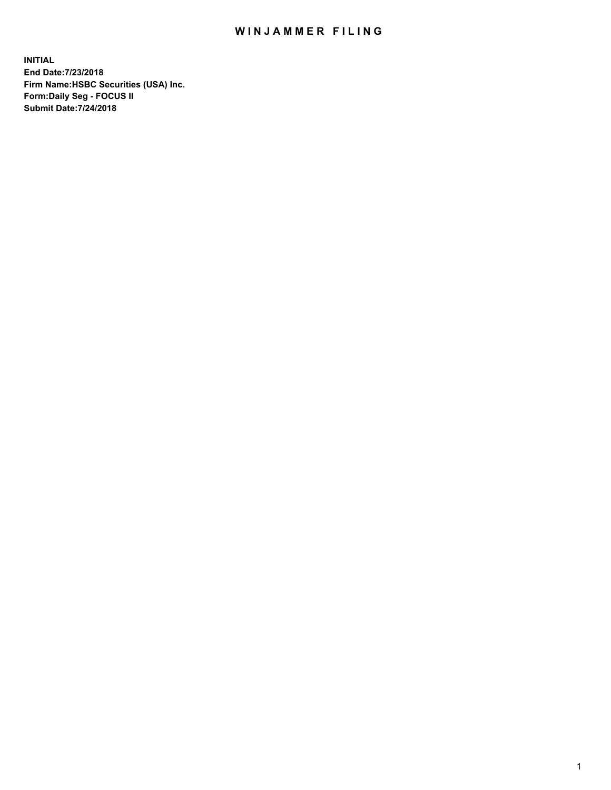## WIN JAMMER FILING

**INITIAL End Date:7/23/2018 Firm Name:HSBC Securities (USA) Inc. Form:Daily Seg - FOCUS II Submit Date:7/24/2018**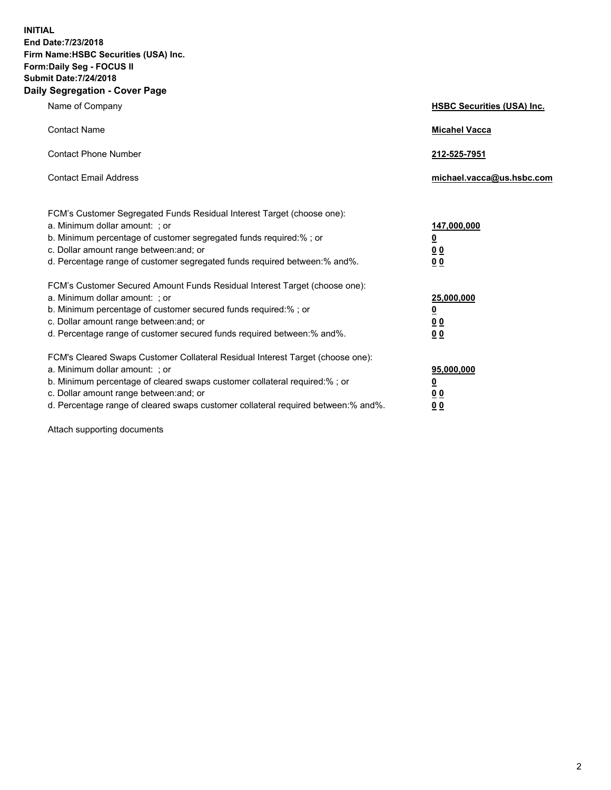**INITIAL End Date:7/23/2018 Firm Name:HSBC Securities (USA) Inc. Form:Daily Seg - FOCUS II Submit Date:7/24/2018 Daily Segregation - Cover Page**

| Name of Company                                                                                                                                                                                                                                                                                                                | <b>HSBC Securities (USA) Inc.</b>                                           |
|--------------------------------------------------------------------------------------------------------------------------------------------------------------------------------------------------------------------------------------------------------------------------------------------------------------------------------|-----------------------------------------------------------------------------|
| <b>Contact Name</b>                                                                                                                                                                                                                                                                                                            | <b>Micahel Vacca</b>                                                        |
| <b>Contact Phone Number</b>                                                                                                                                                                                                                                                                                                    | 212-525-7951                                                                |
| <b>Contact Email Address</b>                                                                                                                                                                                                                                                                                                   | michael.vacca@us.hsbc.com                                                   |
| FCM's Customer Segregated Funds Residual Interest Target (choose one):<br>a. Minimum dollar amount: ; or<br>b. Minimum percentage of customer segregated funds required:% ; or<br>c. Dollar amount range between: and; or<br>d. Percentage range of customer segregated funds required between:% and%.                         | 147,000,000<br>$\underline{\mathbf{0}}$<br>0 <sub>0</sub><br>0 <sub>0</sub> |
| FCM's Customer Secured Amount Funds Residual Interest Target (choose one):<br>a. Minimum dollar amount: ; or<br>b. Minimum percentage of customer secured funds required:% ; or<br>c. Dollar amount range between: and; or<br>d. Percentage range of customer secured funds required between: % and %.                         | 25,000,000<br><u>0</u><br>0 <sub>0</sub><br>0 <sub>0</sub>                  |
| FCM's Cleared Swaps Customer Collateral Residual Interest Target (choose one):<br>a. Minimum dollar amount: ; or<br>b. Minimum percentage of cleared swaps customer collateral required:% ; or<br>c. Dollar amount range between: and; or<br>d. Percentage range of cleared swaps customer collateral required between:% and%. | 95,000,000<br><u>0</u><br>00<br>00                                          |

Attach supporting documents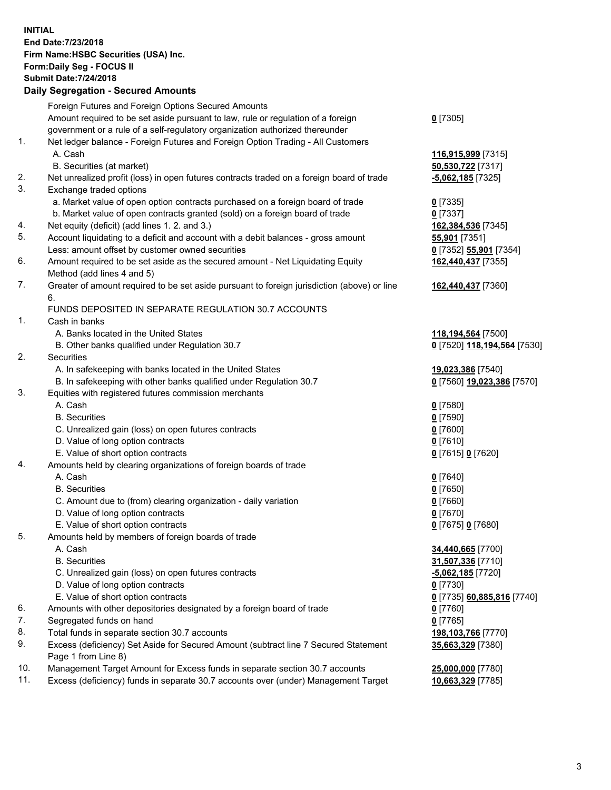**INITIAL End Date:7/23/2018 Firm Name:HSBC Securities (USA) Inc. Form:Daily Seg - FOCUS II Submit Date:7/24/2018 Daily Segregation - Secured Amounts**

|     | Foreign Futures and Foreign Options Secured Amounts                                         |                             |
|-----|---------------------------------------------------------------------------------------------|-----------------------------|
|     | Amount required to be set aside pursuant to law, rule or regulation of a foreign            | $0$ [7305]                  |
|     | government or a rule of a self-regulatory organization authorized thereunder                |                             |
| 1.  | Net ledger balance - Foreign Futures and Foreign Option Trading - All Customers             |                             |
|     | A. Cash                                                                                     | 116,915,999 [7315]          |
|     | B. Securities (at market)                                                                   | 50,530,722 [7317]           |
| 2.  | Net unrealized profit (loss) in open futures contracts traded on a foreign board of trade   | $-5,062,185$ [7325]         |
| 3.  | Exchange traded options                                                                     |                             |
|     | a. Market value of open option contracts purchased on a foreign board of trade              | $0$ [7335]                  |
|     | b. Market value of open contracts granted (sold) on a foreign board of trade                | $0$ [7337]                  |
| 4.  | Net equity (deficit) (add lines 1. 2. and 3.)                                               | 162,384,536 [7345]          |
| 5.  | Account liquidating to a deficit and account with a debit balances - gross amount           | 55,901 [7351]               |
|     | Less: amount offset by customer owned securities                                            | 0 [7352] 55,901 [7354]      |
| 6.  | Amount required to be set aside as the secured amount - Net Liquidating Equity              | 162,440,437 [7355]          |
|     | Method (add lines 4 and 5)                                                                  |                             |
| 7.  | Greater of amount required to be set aside pursuant to foreign jurisdiction (above) or line | 162,440,437 [7360]          |
|     | 6.                                                                                          |                             |
|     | FUNDS DEPOSITED IN SEPARATE REGULATION 30.7 ACCOUNTS                                        |                             |
| 1.  | Cash in banks                                                                               |                             |
|     | A. Banks located in the United States                                                       | 118,194,564 [7500]          |
|     | B. Other banks qualified under Regulation 30.7                                              | 0 [7520] 118,194,564 [7530] |
| 2.  | <b>Securities</b>                                                                           |                             |
|     | A. In safekeeping with banks located in the United States                                   | 19,023,386 [7540]           |
|     | B. In safekeeping with other banks qualified under Regulation 30.7                          | 0 [7560] 19,023,386 [7570]  |
| 3.  | Equities with registered futures commission merchants                                       |                             |
|     | A. Cash                                                                                     | $0$ [7580]                  |
|     | <b>B.</b> Securities                                                                        | $0$ [7590]                  |
|     | C. Unrealized gain (loss) on open futures contracts                                         | $0$ [7600]                  |
|     | D. Value of long option contracts                                                           | $0$ [7610]                  |
|     | E. Value of short option contracts                                                          | 0 [7615] 0 [7620]           |
| 4.  | Amounts held by clearing organizations of foreign boards of trade                           |                             |
|     | A. Cash                                                                                     | $0$ [7640]                  |
|     | <b>B.</b> Securities                                                                        | $0$ [7650]                  |
|     | C. Amount due to (from) clearing organization - daily variation                             | $0$ [7660]                  |
|     | D. Value of long option contracts                                                           | $0$ [7670]                  |
|     | E. Value of short option contracts                                                          | 0 [7675] 0 [7680]           |
| 5.  | Amounts held by members of foreign boards of trade                                          |                             |
|     | A. Cash                                                                                     | 34,440,665 [7700]           |
|     | <b>B.</b> Securities                                                                        | 31,507,336 [7710]           |
|     | C. Unrealized gain (loss) on open futures contracts                                         | -5,062,185 [7720]           |
|     | D. Value of long option contracts                                                           | $0$ [7730]                  |
|     | E. Value of short option contracts                                                          | 0 [7735] 60,885,816 [7740]  |
| 6.  | Amounts with other depositories designated by a foreign board of trade                      |                             |
| 7.  |                                                                                             | 0 [7760]                    |
|     | Segregated funds on hand                                                                    | $0$ [7765]                  |
| 8.  | Total funds in separate section 30.7 accounts                                               | 198,103,766 [7770]          |
| 9.  | Excess (deficiency) Set Aside for Secured Amount (subtract line 7 Secured Statement         | 35,663,329 [7380]           |
|     | Page 1 from Line 8)                                                                         |                             |
| 10. | Management Target Amount for Excess funds in separate section 30.7 accounts                 | 25,000,000 [7780]           |
| 11. | Excess (deficiency) funds in separate 30.7 accounts over (under) Management Target          | 10,663,329 [7785]           |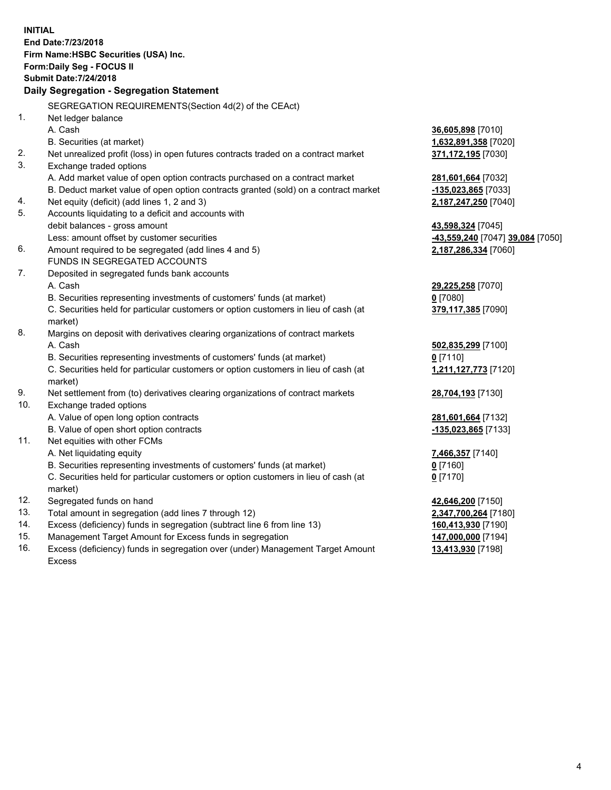**INITIAL End Date:7/23/2018 Firm Name:HSBC Securities (USA) Inc. Form:Daily Seg - FOCUS II Submit Date:7/24/2018 Daily Segregation - Segregation Statement** SEGREGATION REQUIREMENTS(Section 4d(2) of the CEAct) 1. Net ledger balance A. Cash **36,605,898** [7010] B. Securities (at market) **1,632,891,358** [7020] 2. Net unrealized profit (loss) in open futures contracts traded on a contract market **371,172,195** [7030] 3. Exchange traded options A. Add market value of open option contracts purchased on a contract market **281,601,664** [7032] B. Deduct market value of open option contracts granted (sold) on a contract market **-135,023,865** [7033] 4. Net equity (deficit) (add lines 1, 2 and 3) **2,187,247,250** [7040] 5. Accounts liquidating to a deficit and accounts with debit balances - gross amount **43,598,324** [7045] Less: amount offset by customer securities **-43,559,240** [7047] **39,084** [7050] 6. Amount required to be segregated (add lines 4 and 5) **2,187,286,334** [7060] FUNDS IN SEGREGATED ACCOUNTS 7. Deposited in segregated funds bank accounts A. Cash **29,225,258** [7070] B. Securities representing investments of customers' funds (at market) **0** [7080] C. Securities held for particular customers or option customers in lieu of cash (at market) **379,117,385** [7090] 8. Margins on deposit with derivatives clearing organizations of contract markets A. Cash **502,835,299** [7100] B. Securities representing investments of customers' funds (at market) **0** [7110] C. Securities held for particular customers or option customers in lieu of cash (at market) **1,211,127,773** [7120] 9. Net settlement from (to) derivatives clearing organizations of contract markets **28,704,193** [7130] 10. Exchange traded options A. Value of open long option contracts **281,601,664** [7132] B. Value of open short option contracts **-135,023,865** [7133] 11. Net equities with other FCMs A. Net liquidating equity **7,466,357** [7140] B. Securities representing investments of customers' funds (at market) **0** [7160] C. Securities held for particular customers or option customers in lieu of cash (at market) **0** [7170] 12. Segregated funds on hand **42,646,200** [7150] 13. Total amount in segregation (add lines 7 through 12) **2,347,700,264** [7180] 14. Excess (deficiency) funds in segregation (subtract line 6 from line 13) **160,413,930** [7190] 15. Management Target Amount for Excess funds in segregation **147,000,000** [7194]

16. Excess (deficiency) funds in segregation over (under) Management Target Amount Excess

**13,413,930** [7198]